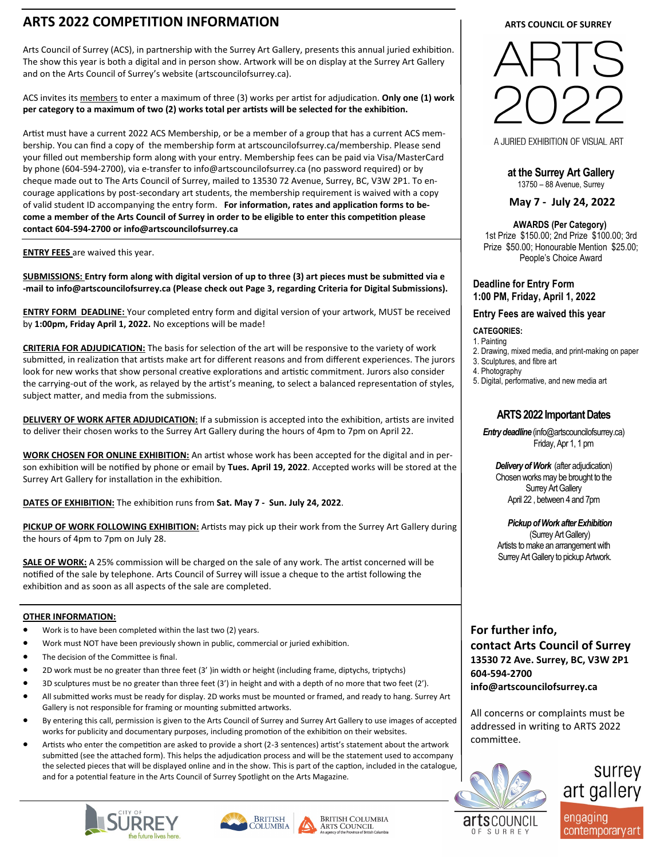# **ARTS 2022 COMPETITION INFORMATION**

Arts Council of Surrey (ACS), in partnership with the Surrey Art Gallery, presents this annual juried exhibition. The show this year is both a digital and in person show. Artwork will be on display at the Surrey Art Gallery and on the Arts Council of Surrey's website (artscouncilofsurrey.ca).

ACS invites its members to enter a maximum of three (3) works per artist for adjudication. **Only one (1) work per category to a maximum of two (2) works total per artists will be selected for the exhibition.** 

Artist must have a current 2022 ACS Membership, or be a member of a group that has a current ACS membership. You can find a copy of the membership form at artscouncilofsurrey.ca/membership. Please send your filled out membership form along with your entry. Membership fees can be paid via Visa/MasterCard by phone (604-594-2700), via e-transfer to info@artscouncilofsurrey.ca (no password required) or by cheque made out to The Arts Council of Surrey, mailed to 13530 72 Avenue, Surrey, BC, V3W 2P1. To encourage applications by post-secondary art students, the membership requirement is waived with a copy of valid student ID accompanying the entry form. **For information, rates and application forms to become a member of the Arts Council of Surrey in order to be eligible to enter this competition please contact 604-594-2700 or info@artscouncilofsurrey.ca**

**ENTRY FEES** are waived this year.

**SUBMISSIONS: Entry form along with digital version of up to three (3) art pieces must be submitted via e -mail to info@artscouncilofsurrey.ca (Please check out Page 3, regarding Criteria for Digital Submissions).**

**ENTRY FORM DEADLINE:** Your completed entry form and digital version of your artwork, MUST be received by **1:00pm, Friday April 1, 2022.** No exceptions will be made!

**CRITERIA FOR ADJUDICATION:** The basis for selection of the art will be responsive to the variety of work submitted, in realization that artists make art for different reasons and from different experiences. The jurors look for new works that show personal creative explorations and artistic commitment. Jurors also consider the carrying-out of the work, as relayed by the artist's meaning, to select a balanced representation of styles, subject matter, and media from the submissions.

**DELIVERY OF WORK AFTER ADJUDICATION:** If a submission is accepted into the exhibition, artists are invited to deliver their chosen works to the Surrey Art Gallery during the hours of 4pm to 7pm on April 22.

**WORK CHOSEN FOR ONLINE EXHIBITION:** An artist whose work has been accepted for the digital and in person exhibition will be notified by phone or email by **Tues. April 19, 2022**. Accepted works will be stored at the Surrey Art Gallery for installation in the exhibition.

**DATES OF EXHIBITION:** The exhibition runs from **Sat. May 7 - Sun. July 24, 2022**.

**PICKUP OF WORK FOLLOWING EXHIBITION:** Artists may pick up their work from the Surrey Art Gallery during the hours of 4pm to 7pm on July 28.

**SALE OF WORK:** A 25% commission will be charged on the sale of any work. The artist concerned will be notified of the sale by telephone. Arts Council of Surrey will issue a cheque to the artist following the exhibition and as soon as all aspects of the sale are completed.

### **OTHER INFORMATION:**

- Work is to have been completed within the last two (2) years.
- Work must NOT have been previously shown in public, commercial or juried exhibition.
- The decision of the Committee is final.
- 2D work must be no greater than three feet (3' )in width or height (including frame, diptychs, triptychs)
- 3D sculptures must be no greater than three feet (3') in height and with a depth of no more that two feet (2').
- All submitted works must be ready for display. 2D works must be mounted or framed, and ready to hang. Surrey Art Gallery is not responsible for framing or mounting submitted artworks.
- By entering this call, permission is given to the Arts Council of Surrey and Surrey Art Gallery to use images of accepted works for publicity and documentary purposes, including promotion of the exhibition on their websites.
- Artists who enter the competition are asked to provide a short (2-3 sentences) artist's statement about the artwork submitted (see the attached form). This helps the adjudication process and will be the statement used to accompany the selected pieces that will be displayed online and in the show. This is part of the caption, included in the catalogue, and for a potential feature in the Arts Council of Surrey Spotlight on the Arts Magazine.









**ARTS COUNCIL OF SURREY** 



A JURIED EXHIBITION OF VISUAL ART

**at the Surrey Art Gallery**  13750 – 88 Avenue, Surrey

 **May 7 - July 24, 2022**

#### **AWARDS (Per Category)**

1st Prize \$150.00; 2nd Prize \$100.00; 3rd Prize \$50.00; Honourable Mention \$25.00; People's Choice Award

#### **Deadline for Entry Form 1:00 PM, Friday, April 1, 2022**

#### **Entry Fees are waived this year**

#### **CATEGORIES:**

- 1. Painting
- 2. Drawing, mixed media, and print-making on paper
- 3. Sculptures, and fibre art
- 4. Photography
- 5. Digital, performative, and new media art

### **ARTS 2022 Important Dates**

*Entry deadline* (info@artscouncilofsurrey.ca) Friday, Apr 1, 1 pm

*Delivery of Work* (after adjudication) Chosen works may be brought to the Surrey Art Gallery April 22 , between 4 and 7pm

 *Pickup of Work after Exhibition*(Surrey Art Gallery) Artists to make an arrangement with Surrey Art Gallery to pickup Artwork.

### **For further info,**

**contact Arts Council of Surrey 13530 72 Ave. Surrey, BC, V3W 2P1 604-594-2700 info@artscouncilofsurrey.ca**

All concerns or complaints must be addressed in writing to ARTS 2022 committee.



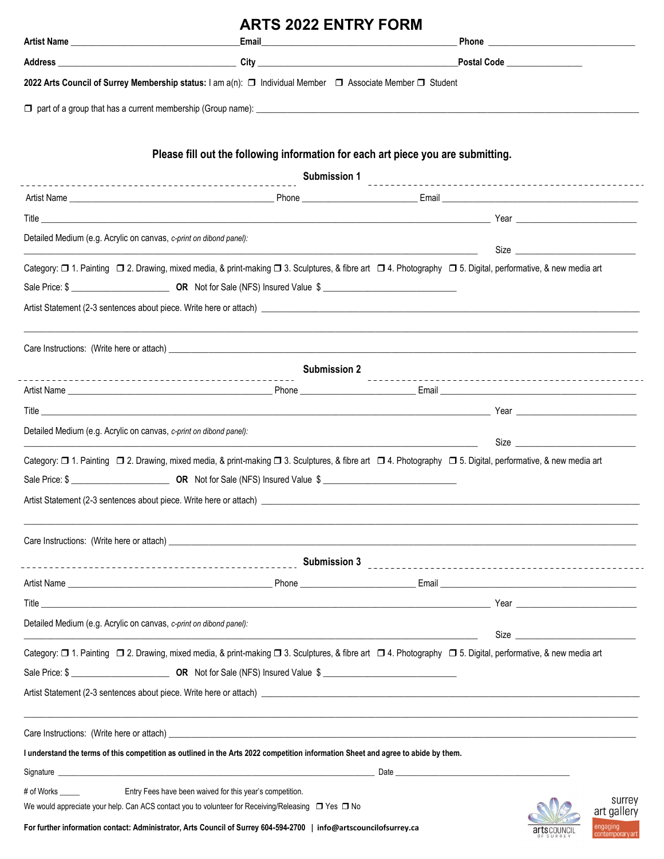|                                                                           | <b>ARTS 2022 ENTRY FORM</b>                                                                                                                                 |  |                             |
|---------------------------------------------------------------------------|-------------------------------------------------------------------------------------------------------------------------------------------------------------|--|-----------------------------|
|                                                                           |                                                                                                                                                             |  |                             |
|                                                                           |                                                                                                                                                             |  |                             |
|                                                                           | 2022 Arts Council of Surrey Membership status: I am a(n): □ Individual Member □ Associate Member □ Student                                                  |  |                             |
|                                                                           |                                                                                                                                                             |  |                             |
|                                                                           | Please fill out the following information for each art piece you are submitting.                                                                            |  |                             |
|                                                                           |                                                                                                                                                             |  |                             |
|                                                                           |                                                                                                                                                             |  |                             |
|                                                                           |                                                                                                                                                             |  |                             |
| Detailed Medium (e.g. Acrylic on canvas, c-print on dibond panel):        |                                                                                                                                                             |  |                             |
|                                                                           | Category: □ 1. Painting □ 2. Drawing, mixed media, & print-making □ 3. Sculptures, & fibre art □ 4. Photography □ 5. Digital, performative, & new media art |  |                             |
|                                                                           |                                                                                                                                                             |  |                             |
|                                                                           |                                                                                                                                                             |  |                             |
|                                                                           |                                                                                                                                                             |  |                             |
|                                                                           | <b>Submission 2</b>                                                                                                                                         |  |                             |
|                                                                           |                                                                                                                                                             |  |                             |
|                                                                           |                                                                                                                                                             |  |                             |
| Detailed Medium (e.g. Acrylic on canvas, c-print on dibond panel):        |                                                                                                                                                             |  |                             |
|                                                                           | Category: □ 1. Painting □ 2. Drawing, mixed media, & print-making □ 3. Sculptures, & fibre art □ 4. Photography □ 5. Digital, performative, & new media art |  |                             |
|                                                                           |                                                                                                                                                             |  |                             |
| Artist Statement (2-3 sentences about piece. Write here or attach) ______ |                                                                                                                                                             |  |                             |
|                                                                           |                                                                                                                                                             |  |                             |
|                                                                           |                                                                                                                                                             |  |                             |
|                                                                           |                                                                                                                                                             |  |                             |
|                                                                           |                                                                                                                                                             |  |                             |
| Detailed Medium (e.g. Acrylic on canvas, c-print on dibond panel):        | and the control of the control of the control of the control of the control of the control of the control of the                                            |  | Size                        |
|                                                                           | Category: □ 1. Painting □ 2. Drawing, mixed media, & print-making □ 3. Sculptures, & fibre art □ 4. Photography □ 5. Digital, performative, & new media art |  |                             |
|                                                                           | Sale Price: \$                                                                                                                                              |  |                             |
|                                                                           |                                                                                                                                                             |  |                             |
|                                                                           |                                                                                                                                                             |  |                             |
|                                                                           | I understand the terms of this competition as outlined in the Arts 2022 competition information Sheet and agree to abide by them.                           |  |                             |
|                                                                           |                                                                                                                                                             |  |                             |
| # of Works ______                                                         | Entry Fees have been waived for this year's competition.                                                                                                    |  |                             |
|                                                                           | We would appreciate your help. Can ACS contact you to volunteer for Receiving/Releasing $\Box$ Yes $\Box$ No                                                |  | surrey<br>art gallery       |
|                                                                           | For further information contact: Administrator, Arts Council of Surrey 604-594-2700   info@artscouncilofsurrey.ca                                           |  | engaging<br>contemporaryart |